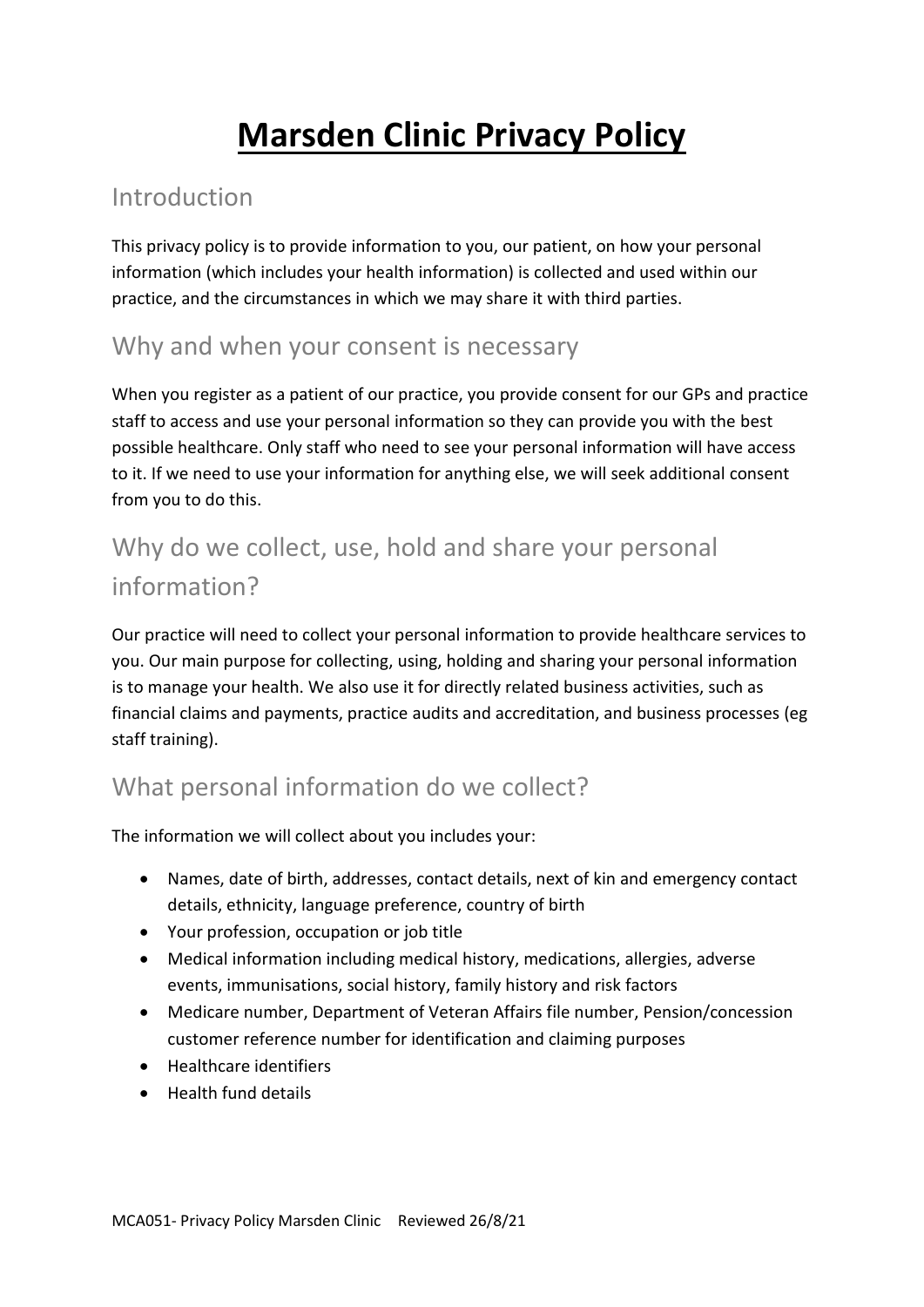# **Marsden Clinic Privacy Policy**

#### Introduction

This privacy policy is to provide information to you, our patient, on how your personal information (which includes your health information) is collected and used within our practice, and the circumstances in which we may share it with third parties.

#### Why and when your consent is necessary

When you register as a patient of our practice, you provide consent for our GPs and practice staff to access and use your personal information so they can provide you with the best possible healthcare. Only staff who need to see your personal information will have access to it. If we need to use your information for anything else, we will seek additional consent from you to do this.

# Why do we collect, use, hold and share your personal information?

Our practice will need to collect your personal information to provide healthcare services to you. Our main purpose for collecting, using, holding and sharing your personal information is to manage your health. We also use it for directly related business activities, such as financial claims and payments, practice audits and accreditation, and business processes (eg staff training).

## What personal information do we collect?

The information we will collect about you includes your:

- Names, date of birth, addresses, contact details, next of kin and emergency contact details, ethnicity, language preference, country of birth
- Your profession, occupation or job title
- Medical information including medical history, medications, allergies, adverse events, immunisations, social history, family history and risk factors
- Medicare number, Department of Veteran Affairs file number, Pension/concession customer reference number for identification and claiming purposes
- **•** Healthcare identifiers
- Health fund details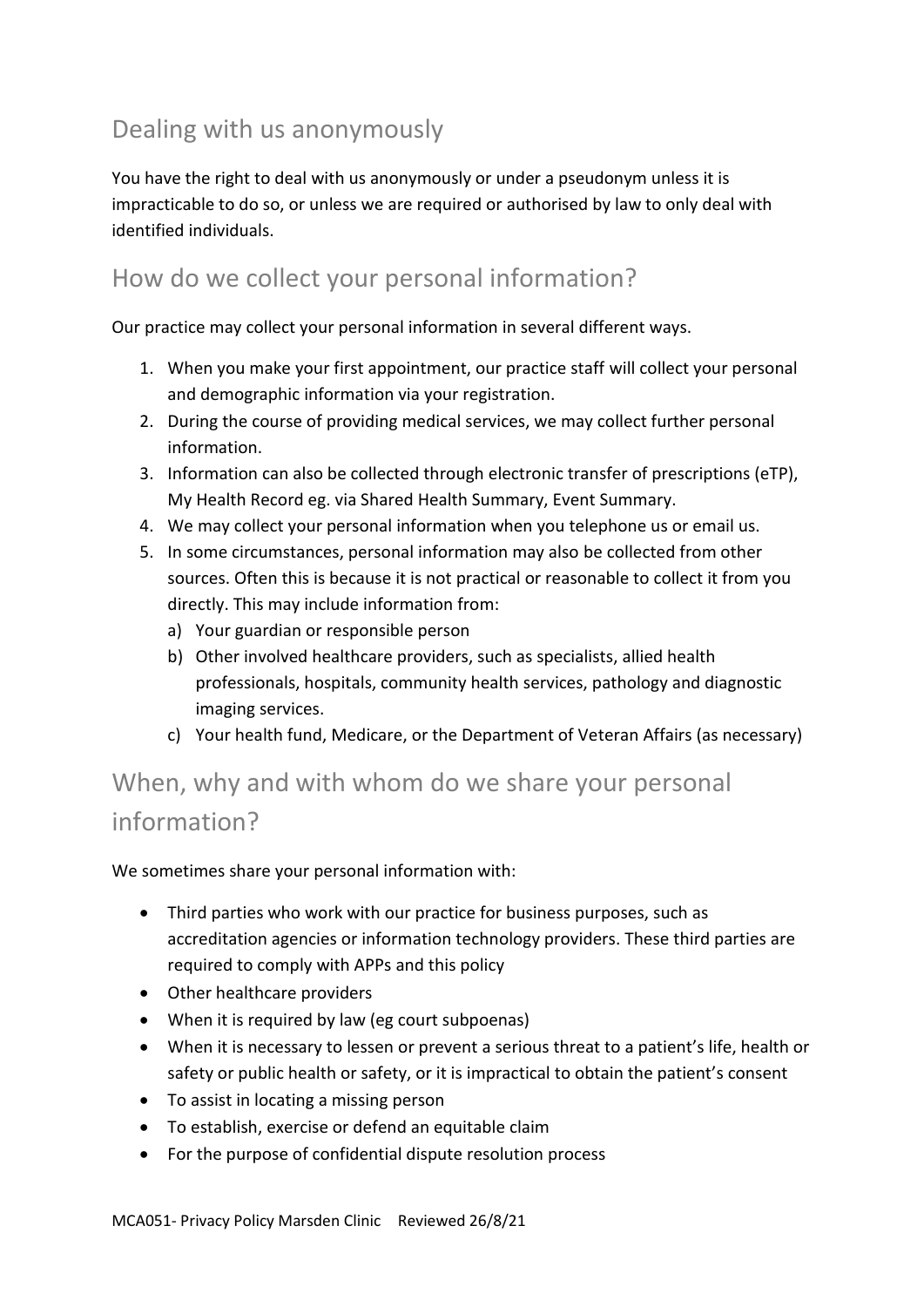## Dealing with us anonymously

You have the right to deal with us anonymously or under a pseudonym unless it is impracticable to do so, or unless we are required or authorised by law to only deal with identified individuals.

#### How do we collect your personal information?

Our practice may collect your personal information in several different ways.

- 1. When you make your first appointment, our practice staff will collect your personal and demographic information via your registration.
- 2. During the course of providing medical services, we may collect further personal information.
- 3. Information can also be collected through electronic transfer of prescriptions (eTP), My Health Record eg. via Shared Health Summary, Event Summary.
- 4. We may collect your personal information when you telephone us or email us.
- 5. In some circumstances, personal information may also be collected from other sources. Often this is because it is not practical or reasonable to collect it from you directly. This may include information from:
	- a) Your guardian or responsible person
	- b) Other involved healthcare providers, such as specialists, allied health professionals, hospitals, community health services, pathology and diagnostic imaging services.
	- c) Your health fund, Medicare, or the Department of Veteran Affairs (as necessary)

# When, why and with whom do we share your personal information?

We sometimes share your personal information with:

- Third parties who work with our practice for business purposes, such as accreditation agencies or information technology providers. These third parties are required to comply with APPs and this policy
- Other healthcare providers
- When it is required by law (eg court subpoenas)
- When it is necessary to lessen or prevent a serious threat to a patient's life, health or safety or public health or safety, or it is impractical to obtain the patient's consent
- To assist in locating a missing person
- To establish, exercise or defend an equitable claim
- For the purpose of confidential dispute resolution process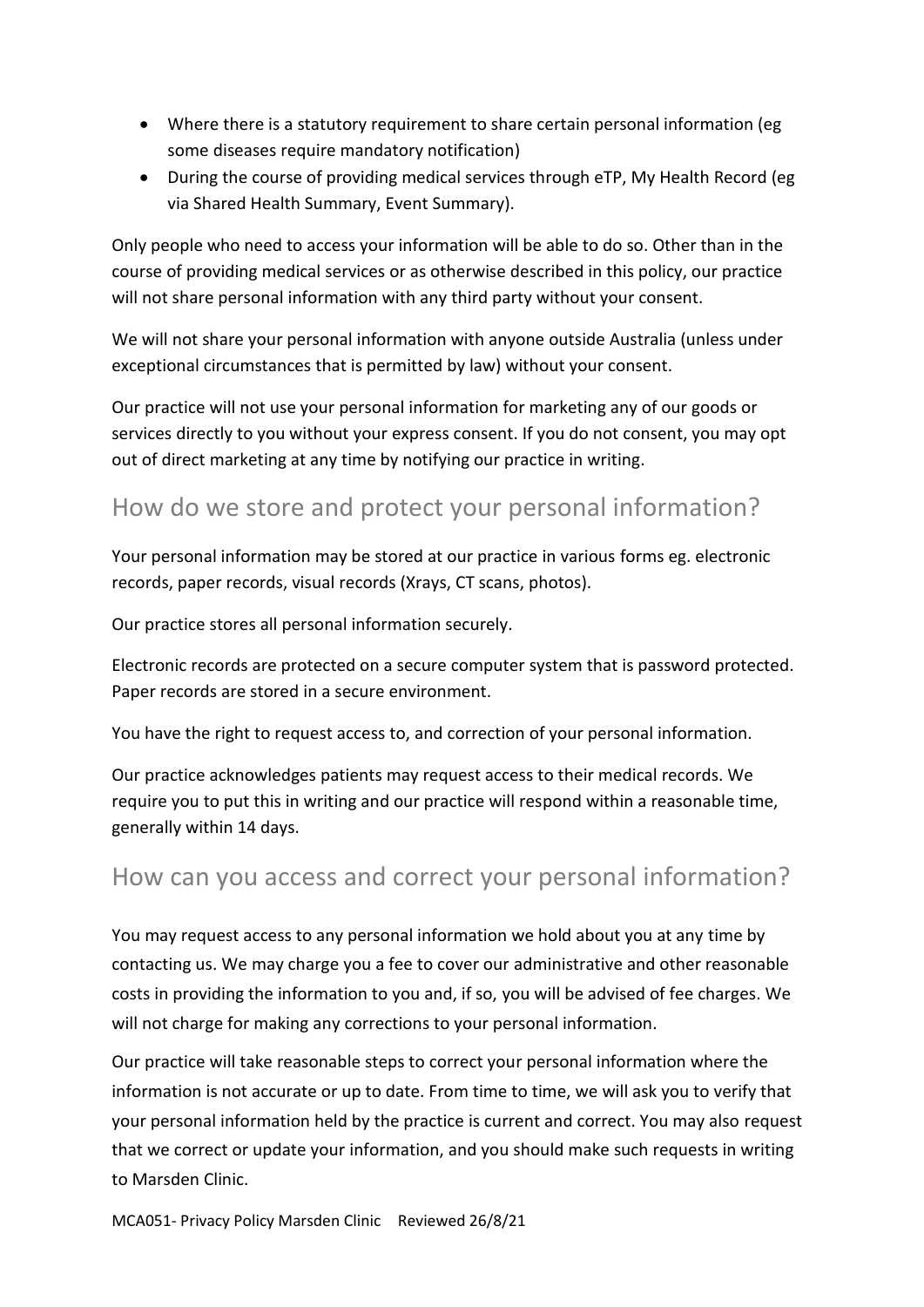- Where there is a statutory requirement to share certain personal information (eg some diseases require mandatory notification)
- During the course of providing medical services through eTP, My Health Record (eg via Shared Health Summary, Event Summary).

Only people who need to access your information will be able to do so. Other than in the course of providing medical services or as otherwise described in this policy, our practice will not share personal information with any third party without your consent.

We will not share your personal information with anyone outside Australia (unless under exceptional circumstances that is permitted by law) without your consent.

Our practice will not use your personal information for marketing any of our goods or services directly to you without your express consent. If you do not consent, you may opt out of direct marketing at any time by notifying our practice in writing.

#### How do we store and protect your personal information?

Your personal information may be stored at our practice in various forms eg. electronic records, paper records, visual records (Xrays, CT scans, photos).

Our practice stores all personal information securely.

Electronic records are protected on a secure computer system that is password protected. Paper records are stored in a secure environment.

You have the right to request access to, and correction of your personal information.

Our practice acknowledges patients may request access to their medical records. We require you to put this in writing and our practice will respond within a reasonable time, generally within 14 days.

#### How can you access and correct your personal information?

You may request access to any personal information we hold about you at any time by contacting us. We may charge you a fee to cover our administrative and other reasonable costs in providing the information to you and, if so, you will be advised of fee charges. We will not charge for making any corrections to your personal information.

Our practice will take reasonable steps to correct your personal information where the information is not accurate or up to date. From time to time, we will ask you to verify that your personal information held by the practice is current and correct. You may also request that we correct or update your information, and you should make such requests in writing to Marsden Clinic.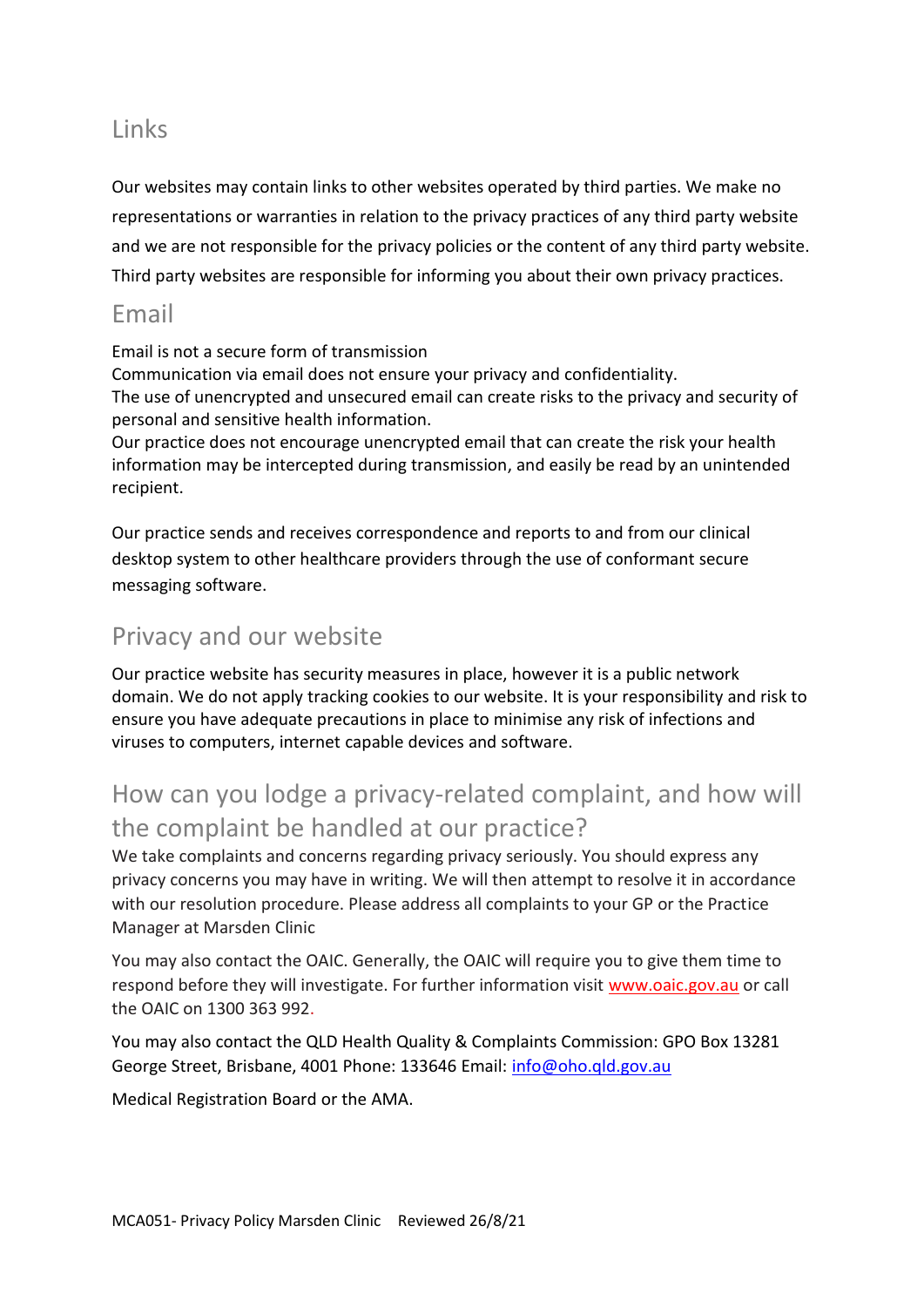#### Links

Our websites may contain links to other websites operated by third parties. We make no representations or warranties in relation to the privacy practices of any third party website and we are not responsible for the privacy policies or the content of any third party website. Third party websites are responsible for informing you about their own privacy practices.

#### Email

Email is not a secure form of transmission

Communication via email does not ensure your privacy and confidentiality. The use of unencrypted and unsecured email can create risks to the privacy and security of personal and sensitive health information.

Our practice does not encourage unencrypted email that can create the risk your health information may be intercepted during transmission, and easily be read by an unintended recipient.

Our practice sends and receives correspondence and reports to and from our clinical desktop system to other healthcare providers through the use of conformant secure messaging software.

#### Privacy and our website

Our practice website has security measures in place, however it is a public network domain. We do not apply tracking cookies to our website. It is your responsibility and risk to ensure you have adequate precautions in place to minimise any risk of infections and viruses to computers, internet capable devices and software.

# How can you lodge a privacy-related complaint, and how will the complaint be handled at our practice?

We take complaints and concerns regarding privacy seriously. You should express any privacy concerns you may have in writing. We will then attempt to resolve it in accordance with our resolution procedure. Please address all complaints to your GP or the Practice Manager at Marsden Clinic

You may also contact the OAIC. Generally, the OAIC will require you to give them time to respond before they will investigate. For further information visit [www.oaic.gov.au](http://www.oaic.gov.au/) or call the OAIC on 1300 363 992.

You may also contact the QLD Health Quality & Complaints Commission: GPO Box 13281 George Street, Brisbane, 4001 Phone: 133646 Email: [info@oho.qld.gov.au](mailto:info@oho.qld.gov.au)

Medical Registration Board or the AMA.